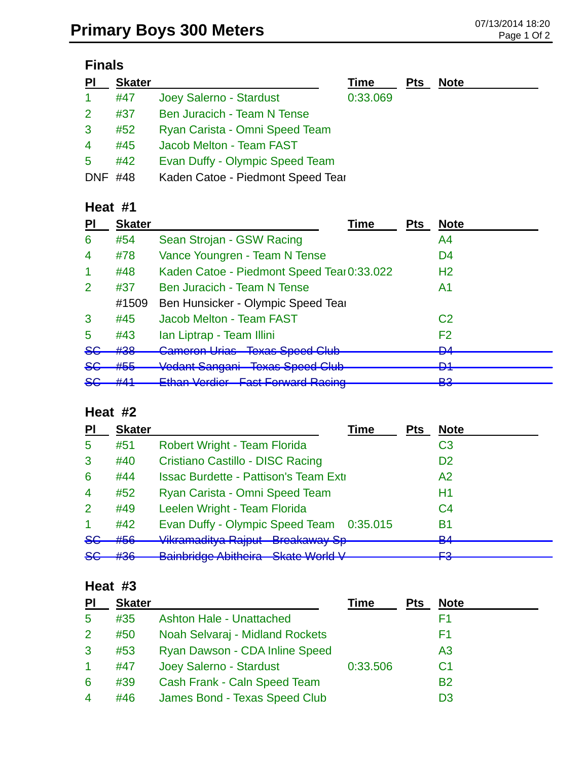# **Finals**

| PI             | <b>Skater</b> |                                   | Time     | <b>Pts</b> | <b>Note</b> |
|----------------|---------------|-----------------------------------|----------|------------|-------------|
| $\mathbf{1}$   | #47           | Joey Salerno - Stardust           | 0:33.069 |            |             |
| 2              | #37           | Ben Juracich - Team N Tense       |          |            |             |
| 3              | #52           | Ryan Carista - Omni Speed Team    |          |            |             |
| $\overline{4}$ | #45           | Jacob Melton - Team FAST          |          |            |             |
| 5              | #42           | Evan Duffy - Olympic Speed Team   |          |            |             |
| <b>DNF</b>     | #48           | Kaden Catoe - Piedmont Speed Tear |          |            |             |

#### **Heat #1**

| PI                      | <b>Skater</b>                   | Time                                       | <b>Pts</b> | <b>Note</b>     |
|-------------------------|---------------------------------|--------------------------------------------|------------|-----------------|
| 6                       | #54                             | Sean Strojan - GSW Racing                  |            | A4              |
| $\overline{4}$          | #78                             | Vance Youngren - Team N Tense              |            | D4              |
|                         | #48                             | Kaden Catoe - Piedmont Speed Tear 0:33.022 |            | H <sub>2</sub>  |
| 2                       | #37                             | Ben Juracich - Team N Tense                |            | A <sub>1</sub>  |
|                         | #1509                           | Ben Hunsicker - Olympic Speed Tear         |            |                 |
| 3                       | #45                             | Jacob Melton - Team FAST                   |            | C <sub>2</sub>  |
| 5                       | #43                             | Ian Liptrap - Team Illini                  |            | F <sub>2</sub>  |
| <del>SG</del>           | #38                             | <b>Cameron Urias Texas Speed Club</b>      |            | <b>DA</b><br>▱  |
| <del>SG</del>           | HEE<br>17 J J                   | Vedant Sangani Texas Speed Club            |            | D1<br>◘         |
| $\mathbf{C} \cap$<br>ᢦᢦ | $+411$<br>$\pi$ , $\pi$ , $\pi$ | <b>Ethan Verdier Fast Forward Racing</b>   |            | <b>פס</b><br>po |

## **Heat #2**

| <b>PI</b>            | <b>Skater</b>         | <b>Time</b>                                    | <b>Pts</b> | <b>Note</b>    |
|----------------------|-----------------------|------------------------------------------------|------------|----------------|
| 5                    | #51                   | Robert Wright - Team Florida                   |            | C3             |
| 3                    | #40                   | Cristiano Castillo - DISC Racing               |            | D <sub>2</sub> |
| 6                    | #44                   | <b>Issac Burdette - Pattison's Team Extill</b> |            | A <sub>2</sub> |
| $\overline{4}$       | #52                   | Ryan Carista - Omni Speed Team                 |            | H1             |
| 2                    | #49                   | Leelen Wright - Team Florida                   |            | C4             |
| $\blacktriangleleft$ | #42                   | Evan Duffy - Olympic Speed Team 0:35.015       |            | <b>B1</b>      |
| 86                   | #56                   | Vikramaditya Rajput Breakaway Sp-              |            | D 1<br>▱       |
| 86                   | H2G<br><del>#00</del> | Bainbridge Abitheira - Skate World V           |            | ΓO<br>r J      |

#### **Heat #3**

| P <sub>l</sub> | <b>Skater</b> |                                 | Time     | <b>Pts</b> | <b>Note</b>    |
|----------------|---------------|---------------------------------|----------|------------|----------------|
| 5              | #35           | <b>Ashton Hale - Unattached</b> |          |            | F1             |
| $\mathbf{2}$   | #50           | Noah Selvaraj - Midland Rockets |          |            | F1             |
| 3              | #53           | Ryan Dawson - CDA Inline Speed  |          |            | A <sub>3</sub> |
|                | #47           | Joey Salerno - Stardust         | 0:33.506 |            | C <sub>1</sub> |
| 6              | #39           | Cash Frank - Caln Speed Team    |          |            | <b>B2</b>      |
| $\overline{4}$ | #46           | James Bond - Texas Speed Club   |          |            | D3             |